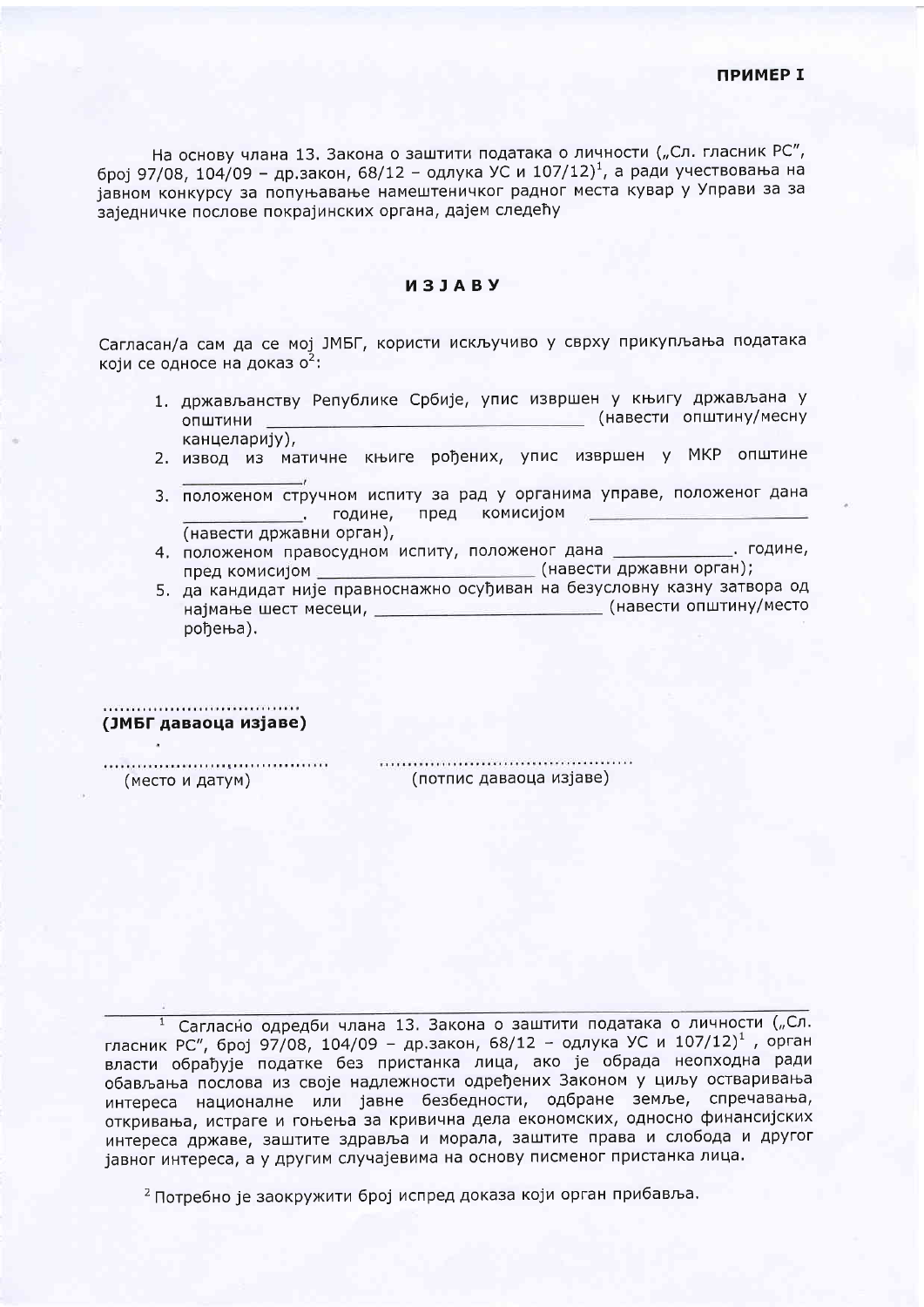На основу члана 13. Закона о заштити података о личности ("Сл. гласник РС", број 97/08, 104/09 - др.закон, 68/12 - одлука УС и 107/12)<sup>1</sup>, а ради учествовања на јавном конкурсу за попуњавање намештеничког радног места кувар у Управи за за заједничке послове покрајинских органа, дајем следећу

## *M***31ARV**

Сагласан/а сам да се мој ЈМБГ, користи искључиво у сврху прикупљања података који се односе на доказ о<sup>2</sup>:

- 1. држављанству Републике Србије, упис извршен у књигу држављана у (навести општину/месну општини канцеларију),
- 2. извод из матичне књиге рођених, упис извршен у МКР општине
- 3. положеном стручном испиту за рад у органима управе, положеног дана пред комисијом су године, пред комисијом (навести државни орган),
- <u>и при подине,</u> 4. положеном правосудном испиту, положеног дана пред комисијом \_\_\_\_\_\_\_\_\_\_\_\_\_\_\_\_\_\_\_\_\_\_\_\_\_\_\_\_(навести државни орган);
- 5. да кандидат није правноснажно осуђиван на безусловну казну затвора од најмање шест месеци, \_\_\_\_\_\_\_\_\_\_\_\_\_\_\_\_\_\_\_\_\_\_\_\_\_\_\_\_\_\_\_\_\_\_\_(навести општину/место рођења).

## (ЈМБГ даваоца изјаве)

(место и датум)

(потпис даваоца изјаве)

1 Сагласно одредби члана 13. Закона о заштити података о личности ("Сл. гласник РС", број 97/08, 104/09 - др.закон, 68/12 - одлука УС и 107/12)<sup>1</sup>, орган власти обрађује податке без пристанка лица, ако је обрада неопходна ради обављања послова из своје надлежности одређених Законом у циљу остваривања интереса националне или јавне безбедности, одбране земље, спречавања, откривања, истраге и гоњења за кривична дела економских, односно финансијских интереса државе, заштите здравља и морала, заштите права и слобода и другог јавног интереса, а у другим случајевима на основу писменог пристанка лица.

<sup>2</sup> Потребно је заокружити број испред доказа који орган прибавља.